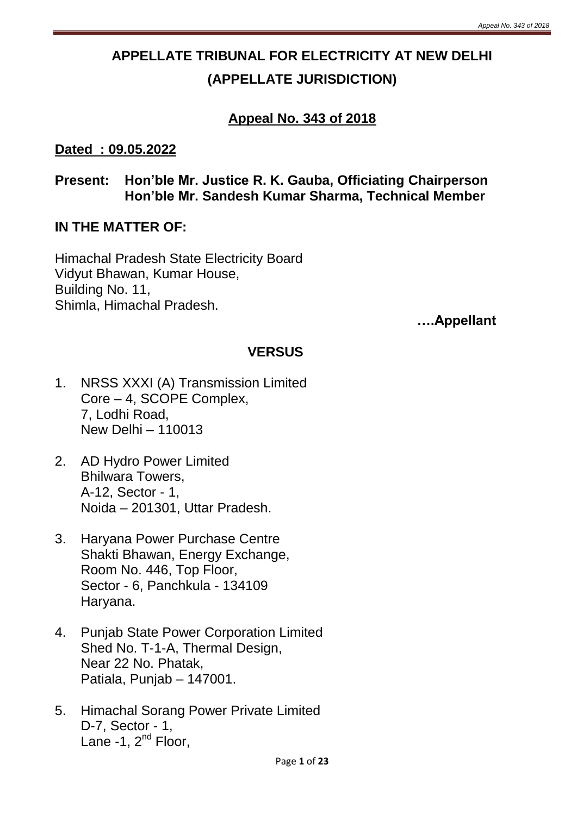# **APPELLATE TRIBUNAL FOR ELECTRICITY AT NEW DELHI (APPELLATE JURISDICTION)**

## **Appeal No. 343 of 2018**

#### **Dated : 09.05.2022**

**Present: Hon'ble Mr. Justice R. K. Gauba, Officiating Chairperson Hon'ble Mr. Sandesh Kumar Sharma, Technical Member**

#### **IN THE MATTER OF:**

Himachal Pradesh State Electricity Board Vidyut Bhawan, Kumar House, Building No. 11, Shimla, Himachal Pradesh.

**….Appellant**

## **VERSUS**

- 1. NRSS XXXI (A) Transmission Limited Core – 4, SCOPE Complex, 7, Lodhi Road, New Delhi – 110013
- 2. AD Hydro Power Limited Bhilwara Towers, A-12, Sector - 1, Noida – 201301, Uttar Pradesh.
- 3. Haryana Power Purchase Centre Shakti Bhawan, Energy Exchange, Room No. 446, Top Floor, Sector - 6, Panchkula - 134109 Haryana.
- 4. Punjab State Power Corporation Limited Shed No. T-1-A, Thermal Design, Near 22 No. Phatak, Patiala, Punjab – 147001.
- 5. Himachal Sorang Power Private Limited D-7, Sector - 1, Lane -1,  $2^{nd}$  Floor,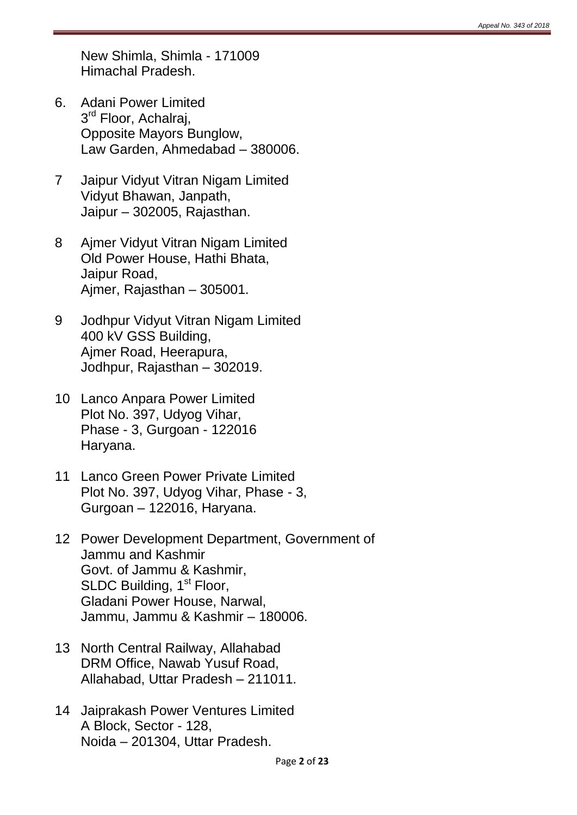New Shimla, Shimla - 171009 Himachal Pradesh.

- 6. Adani Power Limited 3<sup>rd</sup> Floor, Achalraj, Opposite Mayors Bunglow, Law Garden, Ahmedabad – 380006.
- 7 Jaipur Vidyut Vitran Nigam Limited Vidyut Bhawan, Janpath, Jaipur – 302005, Rajasthan.
- 8 Ajmer Vidyut Vitran Nigam Limited Old Power House, Hathi Bhata, Jaipur Road, Ajmer, Rajasthan – 305001.
- 9 Jodhpur Vidyut Vitran Nigam Limited 400 kV GSS Building, Ajmer Road, Heerapura, Jodhpur, Rajasthan – 302019.
- 10 Lanco Anpara Power Limited Plot No. 397, Udyog Vihar, Phase - 3, Gurgoan - 122016 Haryana.
- 11 Lanco Green Power Private Limited Plot No. 397, Udyog Vihar, Phase - 3, Gurgoan – 122016, Haryana.
- 12 Power Development Department, Government of Jammu and Kashmir Govt. of Jammu & Kashmir, SLDC Building, 1<sup>st</sup> Floor, Gladani Power House, Narwal, Jammu, Jammu & Kashmir – 180006.
- 13 North Central Railway, Allahabad DRM Office, Nawab Yusuf Road, Allahabad, Uttar Pradesh – 211011.
- 14 Jaiprakash Power Ventures Limited A Block, Sector - 128, Noida – 201304, Uttar Pradesh.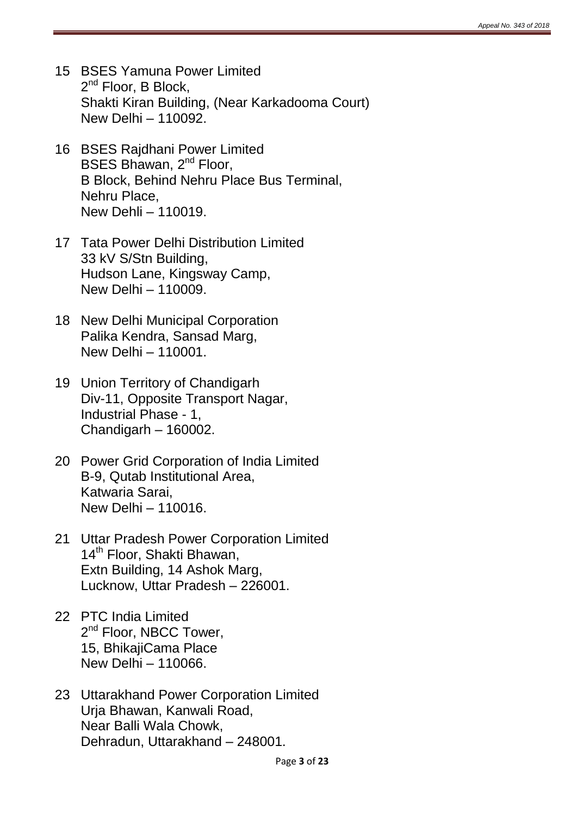- 15 BSES Yamuna Power Limited 2<sup>nd</sup> Floor, B Block, Shakti Kiran Building, (Near Karkadooma Court) New Delhi – 110092.
- 16 BSES Rajdhani Power Limited BSES Bhawan, 2<sup>nd</sup> Floor, B Block, Behind Nehru Place Bus Terminal, Nehru Place, New Dehli – 110019.
- 17 Tata Power Delhi Distribution Limited 33 kV S/Stn Building, Hudson Lane, Kingsway Camp, New Delhi – 110009.
- 18 New Delhi Municipal Corporation Palika Kendra, Sansad Marg, New Delhi – 110001.
- 19 Union Territory of Chandigarh Div-11, Opposite Transport Nagar, Industrial Phase - 1, Chandigarh – 160002.
- 20 Power Grid Corporation of India Limited B-9, Qutab Institutional Area, Katwaria Sarai, New Delhi – 110016.
- 21 Uttar Pradesh Power Corporation Limited 14<sup>th</sup> Floor, Shakti Bhawan, Extn Building, 14 Ashok Marg, Lucknow, Uttar Pradesh – 226001.
- 22 PTC India Limited 2<sup>nd</sup> Floor, NBCC Tower, 15, BhikajiCama Place New Delhi – 110066.
- 23 Uttarakhand Power Corporation Limited Urja Bhawan, Kanwali Road, Near Balli Wala Chowk, Dehradun, Uttarakhand – 248001.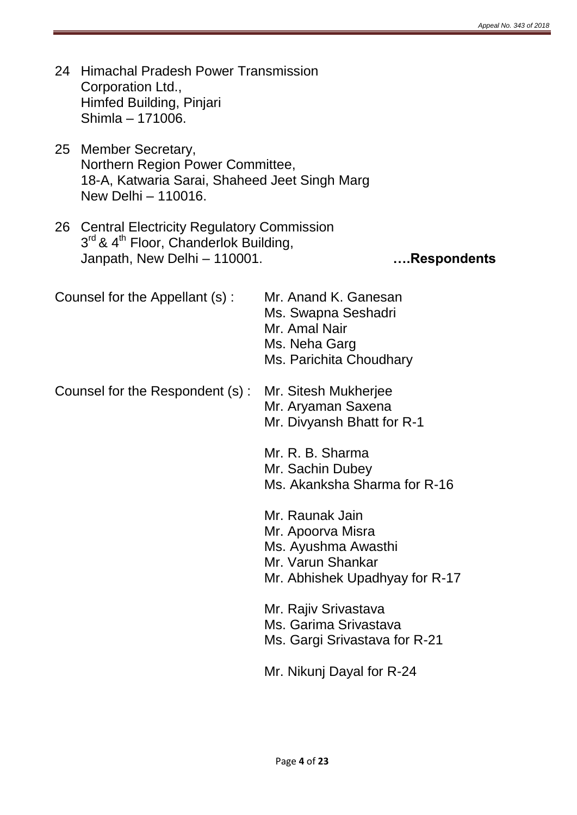- 24 Himachal Pradesh Power Transmission Corporation Ltd., Himfed Building, Pinjari Shimla – 171006.
- 25 Member Secretary, Northern Region Power Committee, 18-A, Katwaria Sarai, Shaheed Jeet Singh Marg New Delhi – 110016.
- 26 Central Electricity Regulatory Commission 3<sup>rd</sup> & 4<sup>th</sup> Floor, Chanderlok Building, Janpath, New Delhi – 110001. **….Respondents**

Counsel for the Appellant (s) : Mr. Anand K. Ganesan Ms. Swapna Seshadri Mr. Amal Nair Ms. Neha Garg

Counsel for the Respondent (s) : Mr. Sitesh Mukherjee

Ms. Parichita Choudhary Mr. Aryaman Saxena Mr. Divyansh Bhatt for R-1

Mr. R. B. Sharma Mr. Sachin Dubey Ms. Akanksha Sharma for R-16

Mr. Raunak Jain Mr. Apoorva Misra

Ms. Ayushma Awasthi

Mr. Varun Shankar

Mr. Abhishek Upadhyay for R-17

Mr. Rajiv Srivastava Ms. Garima Srivastava Ms. Gargi Srivastava for R-21

Mr. Nikunj Dayal for R-24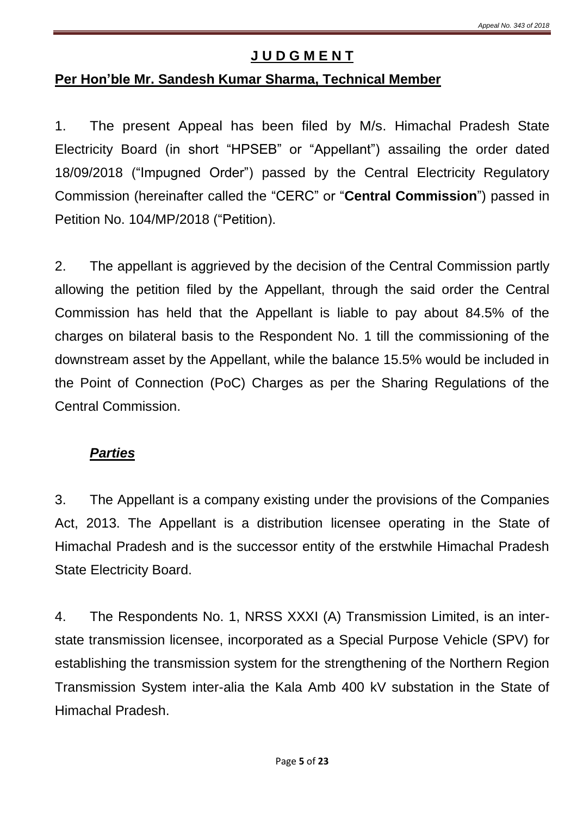### **J U D G M E N T**

#### **Per Hon'ble Mr. Sandesh Kumar Sharma, Technical Member**

1. The present Appeal has been filed by M/s. Himachal Pradesh State Electricity Board (in short "HPSEB" or "Appellant") assailing the order dated 18/09/2018 ("Impugned Order") passed by the Central Electricity Regulatory Commission (hereinafter called the "CERC" or "**Central Commission**") passed in Petition No. 104/MP/2018 ("Petition).

2. The appellant is aggrieved by the decision of the Central Commission partly allowing the petition filed by the Appellant, through the said order the Central Commission has held that the Appellant is liable to pay about 84.5% of the charges on bilateral basis to the Respondent No. 1 till the commissioning of the downstream asset by the Appellant, while the balance 15.5% would be included in the Point of Connection (PoC) Charges as per the Sharing Regulations of the Central Commission.

#### *Parties*

3. The Appellant is a company existing under the provisions of the Companies Act, 2013. The Appellant is a distribution licensee operating in the State of Himachal Pradesh and is the successor entity of the erstwhile Himachal Pradesh State Electricity Board.

4. The Respondents No. 1, NRSS XXXI (A) Transmission Limited, is an interstate transmission licensee, incorporated as a Special Purpose Vehicle (SPV) for establishing the transmission system for the strengthening of the Northern Region Transmission System inter-alia the Kala Amb 400 kV substation in the State of Himachal Pradesh.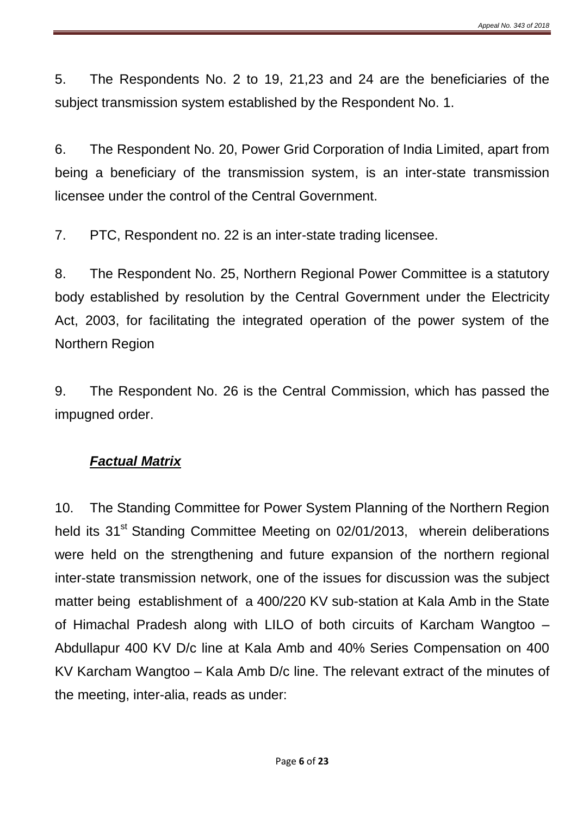5. The Respondents No. 2 to 19, 21,23 and 24 are the beneficiaries of the subject transmission system established by the Respondent No. 1.

6. The Respondent No. 20, Power Grid Corporation of India Limited, apart from being a beneficiary of the transmission system, is an inter-state transmission licensee under the control of the Central Government.

7. PTC, Respondent no. 22 is an inter-state trading licensee.

8. The Respondent No. 25, Northern Regional Power Committee is a statutory body established by resolution by the Central Government under the Electricity Act, 2003, for facilitating the integrated operation of the power system of the Northern Region

9. The Respondent No. 26 is the Central Commission, which has passed the impugned order.

### *Factual Matrix*

10. The Standing Committee for Power System Planning of the Northern Region held its 31<sup>st</sup> Standing Committee Meeting on 02/01/2013, wherein deliberations were held on the strengthening and future expansion of the northern regional inter-state transmission network, one of the issues for discussion was the subject matter being establishment of a 400/220 KV sub-station at Kala Amb in the State of Himachal Pradesh along with LILO of both circuits of Karcham Wangtoo – Abdullapur 400 KV D/c line at Kala Amb and 40% Series Compensation on 400 KV Karcham Wangtoo – Kala Amb D/c line. The relevant extract of the minutes of the meeting, inter-alia, reads as under: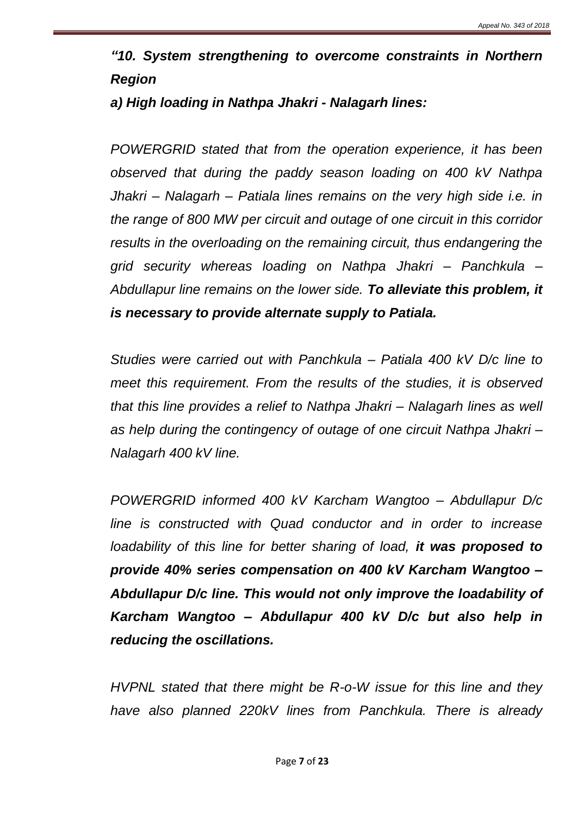*"10. System strengthening to overcome constraints in Northern Region* 

#### *a) High loading in Nathpa Jhakri - Nalagarh lines:*

*POWERGRID stated that from the operation experience, it has been observed that during the paddy season loading on 400 kV Nathpa Jhakri – Nalagarh – Patiala lines remains on the very high side i.e. in the range of 800 MW per circuit and outage of one circuit in this corridor results in the overloading on the remaining circuit, thus endangering the grid security whereas loading on Nathpa Jhakri – Panchkula – Abdullapur line remains on the lower side. To alleviate this problem, it is necessary to provide alternate supply to Patiala.*

*Studies were carried out with Panchkula – Patiala 400 kV D/c line to meet this requirement. From the results of the studies, it is observed that this line provides a relief to Nathpa Jhakri – Nalagarh lines as well as help during the contingency of outage of one circuit Nathpa Jhakri – Nalagarh 400 kV line.*

*POWERGRID informed 400 kV Karcham Wangtoo – Abdullapur D/c line is constructed with Quad conductor and in order to increase loadability of this line for better sharing of load, it was proposed to provide 40% series compensation on 400 kV Karcham Wangtoo – Abdullapur D/c line. This would not only improve the loadability of Karcham Wangtoo – Abdullapur 400 kV D/c but also help in reducing the oscillations.*

*HVPNL stated that there might be R-o-W issue for this line and they have also planned 220kV lines from Panchkula. There is already*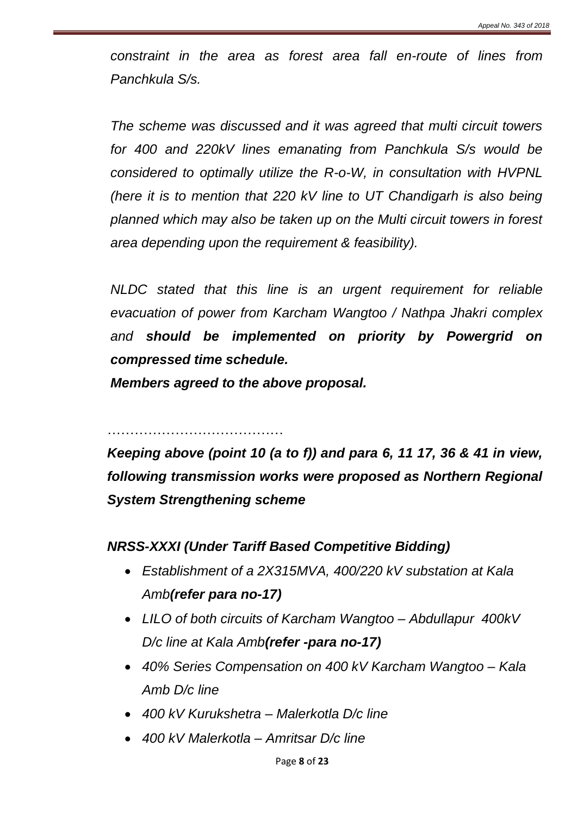*constraint in the area as forest area fall en-route of lines from Panchkula S/s.*

*The scheme was discussed and it was agreed that multi circuit towers for 400 and 220kV lines emanating from Panchkula S/s would be considered to optimally utilize the R-o-W, in consultation with HVPNL (here it is to mention that 220 kV line to UT Chandigarh is also being planned which may also be taken up on the Multi circuit towers in forest area depending upon the requirement & feasibility).*

*NLDC stated that this line is an urgent requirement for reliable evacuation of power from Karcham Wangtoo / Nathpa Jhakri complex and should be implemented on priority by Powergrid on compressed time schedule.* 

*Members agreed to the above proposal.*

…………………………………

*Keeping above (point 10 (a to f)) and para 6, 11 17, 36 & 41 in view, following transmission works were proposed as Northern Regional System Strengthening scheme*

### *NRSS-XXXI (Under Tariff Based Competitive Bidding)*

- *Establishment of a 2X315MVA, 400/220 kV substation at Kala Amb(refer para no-17)*
- *LILO of both circuits of Karcham Wangtoo – Abdullapur 400kV D/c line at Kala Amb(refer -para no-17)*
- *40% Series Compensation on 400 kV Karcham Wangtoo – Kala Amb D/c line*
- *400 kV Kurukshetra – Malerkotla D/c line*
- *400 kV Malerkotla – Amritsar D/c line*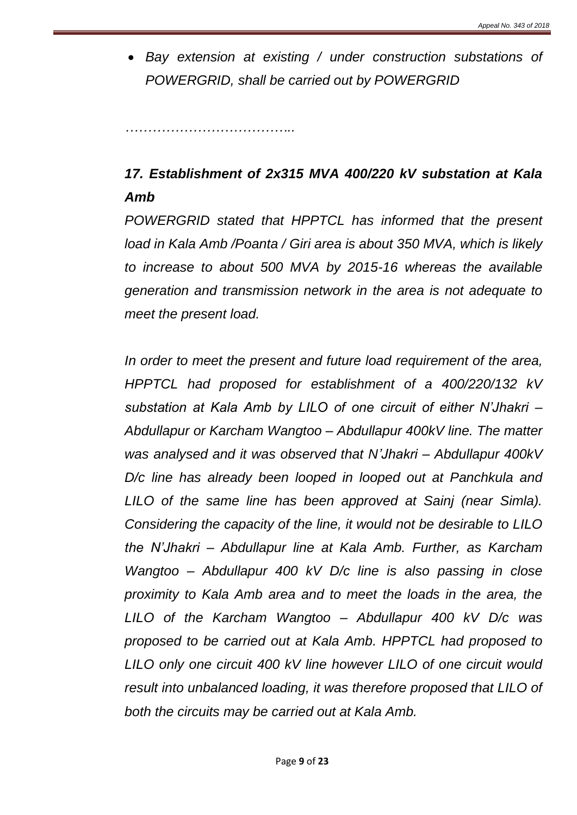*Bay extension at existing / under construction substations of POWERGRID, shall be carried out by POWERGRID*

*………………………………..*

# *17. Establishment of 2x315 MVA 400/220 kV substation at Kala Amb*

*POWERGRID stated that HPPTCL has informed that the present load in Kala Amb /Poanta / Giri area is about 350 MVA, which is likely to increase to about 500 MVA by 2015-16 whereas the available generation and transmission network in the area is not adequate to meet the present load.*

*In order to meet the present and future load requirement of the area, HPPTCL had proposed for establishment of a 400/220/132 kV substation at Kala Amb by LILO of one circuit of either N'Jhakri – Abdullapur or Karcham Wangtoo – Abdullapur 400kV line. The matter was analysed and it was observed that N'Jhakri – Abdullapur 400kV D/c line has already been looped in looped out at Panchkula and LILO of the same line has been approved at Sainj (near Simla). Considering the capacity of the line, it would not be desirable to LILO the N'Jhakri – Abdullapur line at Kala Amb. Further, as Karcham Wangtoo – Abdullapur 400 kV D/c line is also passing in close proximity to Kala Amb area and to meet the loads in the area, the LILO of the Karcham Wangtoo – Abdullapur 400 kV D/c was proposed to be carried out at Kala Amb. HPPTCL had proposed to LILO only one circuit 400 kV line however LILO of one circuit would result into unbalanced loading, it was therefore proposed that LILO of both the circuits may be carried out at Kala Amb.*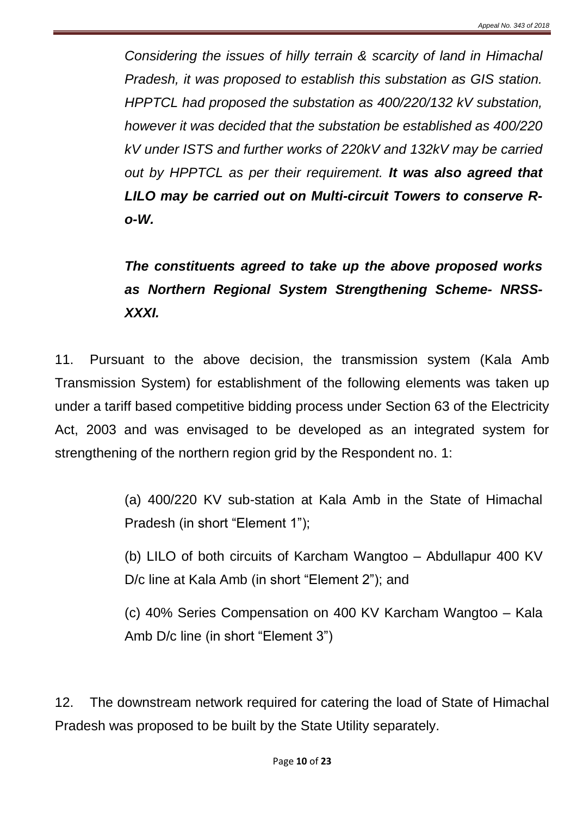*Considering the issues of hilly terrain & scarcity of land in Himachal Pradesh, it was proposed to establish this substation as GIS station. HPPTCL had proposed the substation as 400/220/132 kV substation, however it was decided that the substation be established as 400/220 kV under ISTS and further works of 220kV and 132kV may be carried out by HPPTCL as per their requirement. It was also agreed that LILO may be carried out on Multi-circuit Towers to conserve Ro-W.*

# *The constituents agreed to take up the above proposed works as Northern Regional System Strengthening Scheme- NRSS-XXXI.*

11. Pursuant to the above decision, the transmission system (Kala Amb Transmission System) for establishment of the following elements was taken up under a tariff based competitive bidding process under Section 63 of the Electricity Act, 2003 and was envisaged to be developed as an integrated system for strengthening of the northern region grid by the Respondent no. 1:

> (a) 400/220 KV sub-station at Kala Amb in the State of Himachal Pradesh (in short "Element 1");

> (b) LILO of both circuits of Karcham Wangtoo – Abdullapur 400 KV D/c line at Kala Amb (in short "Element 2"); and

> (c) 40% Series Compensation on 400 KV Karcham Wangtoo – Kala Amb D/c line (in short "Element 3")

12. The downstream network required for catering the load of State of Himachal Pradesh was proposed to be built by the State Utility separately.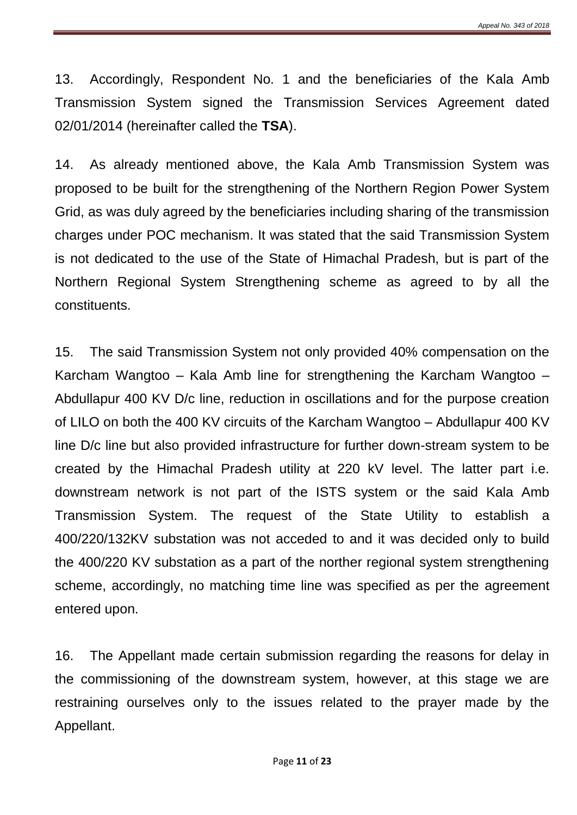13. Accordingly, Respondent No. 1 and the beneficiaries of the Kala Amb Transmission System signed the Transmission Services Agreement dated 02/01/2014 (hereinafter called the **TSA**).

14. As already mentioned above, the Kala Amb Transmission System was proposed to be built for the strengthening of the Northern Region Power System Grid, as was duly agreed by the beneficiaries including sharing of the transmission charges under POC mechanism. It was stated that the said Transmission System is not dedicated to the use of the State of Himachal Pradesh, but is part of the Northern Regional System Strengthening scheme as agreed to by all the constituents.

15. The said Transmission System not only provided 40% compensation on the Karcham Wangtoo – Kala Amb line for strengthening the Karcham Wangtoo – Abdullapur 400 KV D/c line, reduction in oscillations and for the purpose creation of LILO on both the 400 KV circuits of the Karcham Wangtoo – Abdullapur 400 KV line D/c line but also provided infrastructure for further down-stream system to be created by the Himachal Pradesh utility at 220 kV level. The latter part i.e. downstream network is not part of the ISTS system or the said Kala Amb Transmission System. The request of the State Utility to establish a 400/220/132KV substation was not acceded to and it was decided only to build the 400/220 KV substation as a part of the norther regional system strengthening scheme, accordingly, no matching time line was specified as per the agreement entered upon.

16. The Appellant made certain submission regarding the reasons for delay in the commissioning of the downstream system, however, at this stage we are restraining ourselves only to the issues related to the prayer made by the Appellant.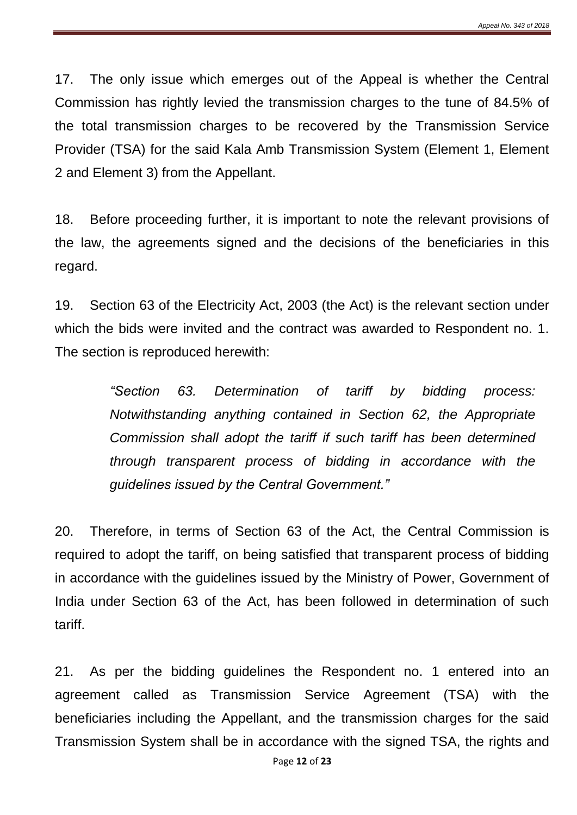17. The only issue which emerges out of the Appeal is whether the Central Commission has rightly levied the transmission charges to the tune of 84.5% of the total transmission charges to be recovered by the Transmission Service Provider (TSA) for the said Kala Amb Transmission System (Element 1, Element 2 and Element 3) from the Appellant.

18. Before proceeding further, it is important to note the relevant provisions of the law, the agreements signed and the decisions of the beneficiaries in this regard.

19. Section 63 of the Electricity Act, 2003 (the Act) is the relevant section under which the bids were invited and the contract was awarded to Respondent no. 1. The section is reproduced herewith:

> *"Section 63. Determination of tariff by bidding process: Notwithstanding anything contained in Section 62, the Appropriate Commission shall adopt the tariff if such tariff has been determined through transparent process of bidding in accordance with the guidelines issued by the Central Government."*

20. Therefore, in terms of Section 63 of the Act, the Central Commission is required to adopt the tariff, on being satisfied that transparent process of bidding in accordance with the guidelines issued by the Ministry of Power, Government of India under Section 63 of the Act, has been followed in determination of such tariff.

21. As per the bidding guidelines the Respondent no. 1 entered into an agreement called as Transmission Service Agreement (TSA) with the beneficiaries including the Appellant, and the transmission charges for the said Transmission System shall be in accordance with the signed TSA, the rights and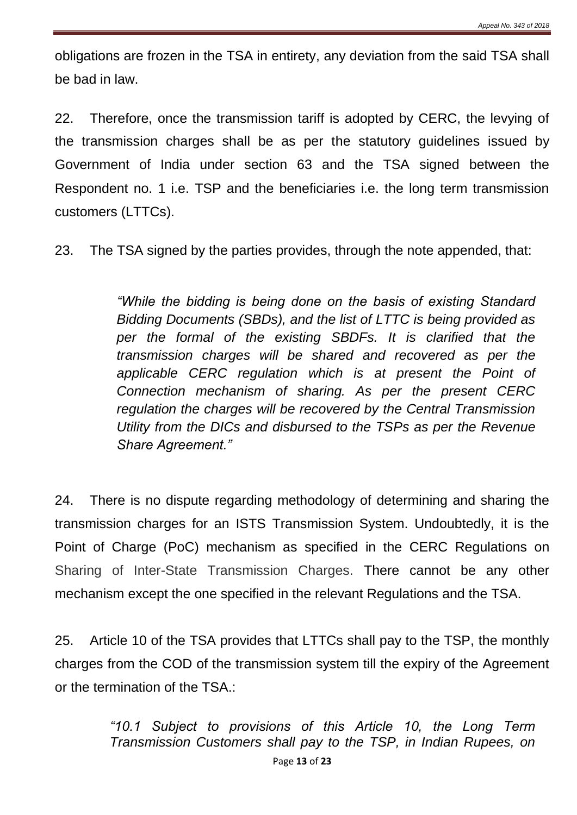obligations are frozen in the TSA in entirety, any deviation from the said TSA shall be bad in law.

22. Therefore, once the transmission tariff is adopted by CERC, the levying of the transmission charges shall be as per the statutory guidelines issued by Government of India under section 63 and the TSA signed between the Respondent no. 1 i.e. TSP and the beneficiaries i.e. the long term transmission customers (LTTCs).

23. The TSA signed by the parties provides, through the note appended, that:

*"While the bidding is being done on the basis of existing Standard Bidding Documents (SBDs), and the list of LTTC is being provided as per the formal of the existing SBDFs. It is clarified that the transmission charges will be shared and recovered as per the applicable CERC regulation which is at present the Point of Connection mechanism of sharing. As per the present CERC regulation the charges will be recovered by the Central Transmission Utility from the DICs and disbursed to the TSPs as per the Revenue Share Agreement."*

24. There is no dispute regarding methodology of determining and sharing the transmission charges for an ISTS Transmission System. Undoubtedly, it is the Point of Charge (PoC) mechanism as specified in the CERC Regulations on Sharing of Inter-State Transmission Charges. There cannot be any other mechanism except the one specified in the relevant Regulations and the TSA.

25. Article 10 of the TSA provides that LTTCs shall pay to the TSP, the monthly charges from the COD of the transmission system till the expiry of the Agreement or the termination of the TSA.:

> Page **13** of **23** *"10.1 Subject to provisions of this Article 10, the Long Term Transmission Customers shall pay to the TSP, in Indian Rupees, on*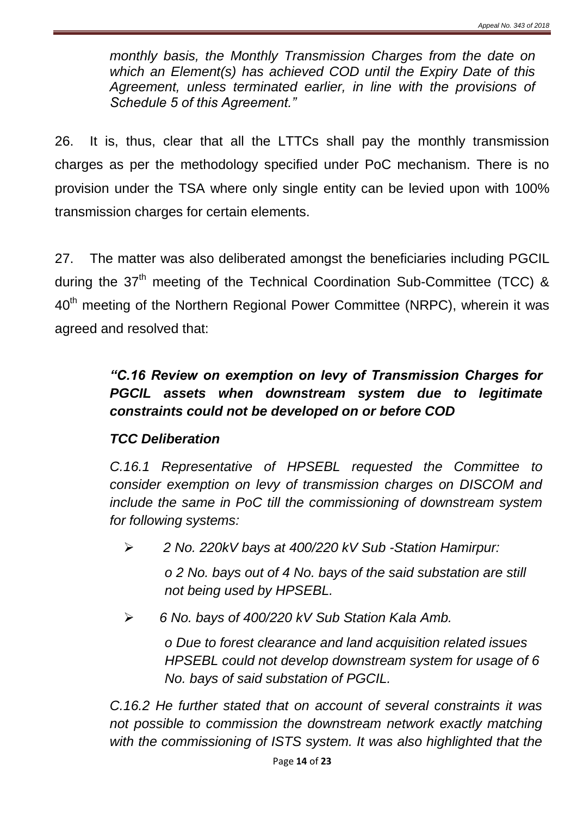*monthly basis, the Monthly Transmission Charges from the date on which an Element(s) has achieved COD until the Expiry Date of this Agreement, unless terminated earlier, in line with the provisions of Schedule 5 of this Agreement."*

26. It is, thus, clear that all the LTTCs shall pay the monthly transmission charges as per the methodology specified under PoC mechanism. There is no provision under the TSA where only single entity can be levied upon with 100% transmission charges for certain elements.

27. The matter was also deliberated amongst the beneficiaries including PGCIL during the  $37<sup>th</sup>$  meeting of the Technical Coordination Sub-Committee (TCC) & 40<sup>th</sup> meeting of the Northern Regional Power Committee (NRPC), wherein it was agreed and resolved that:

# *"C.16 Review on exemption on levy of Transmission Charges for PGCIL assets when downstream system due to legitimate constraints could not be developed on or before COD*

## *TCC Deliberation*

*C.16.1 Representative of HPSEBL requested the Committee to consider exemption on levy of transmission charges on DISCOM and include the same in PoC till the commissioning of downstream system for following systems:* 

*2 No. 220kV bays at 400/220 kV Sub -Station Hamirpur:*

*o 2 No. bays out of 4 No. bays of the said substation are still not being used by HPSEBL.* 

*6 No. bays of 400/220 kV Sub Station Kala Amb.* 

*o Due to forest clearance and land acquisition related issues HPSEBL could not develop downstream system for usage of 6 No. bays of said substation of PGCIL.*

*C.16.2 He further stated that on account of several constraints it was not possible to commission the downstream network exactly matching with the commissioning of ISTS system. It was also highlighted that the*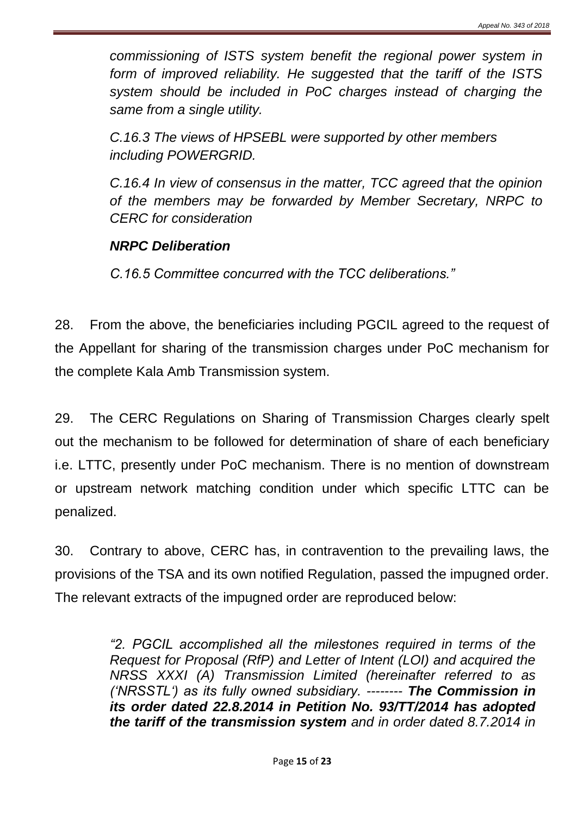*commissioning of ISTS system benefit the regional power system in form of improved reliability. He suggested that the tariff of the ISTS system should be included in PoC charges instead of charging the same from a single utility.* 

*C.16.3 The views of HPSEBL were supported by other members including POWERGRID.* 

*C.16.4 In view of consensus in the matter, TCC agreed that the opinion of the members may be forwarded by Member Secretary, NRPC to CERC for consideration* 

#### *NRPC Deliberation*

*C.16.5 Committee concurred with the TCC deliberations."*

28. From the above, the beneficiaries including PGCIL agreed to the request of the Appellant for sharing of the transmission charges under PoC mechanism for the complete Kala Amb Transmission system.

29. The CERC Regulations on Sharing of Transmission Charges clearly spelt out the mechanism to be followed for determination of share of each beneficiary i.e. LTTC, presently under PoC mechanism. There is no mention of downstream or upstream network matching condition under which specific LTTC can be penalized.

30. Contrary to above, CERC has, in contravention to the prevailing laws, the provisions of the TSA and its own notified Regulation, passed the impugned order. The relevant extracts of the impugned order are reproduced below:

> *"2. PGCIL accomplished all the milestones required in terms of the Request for Proposal (RfP) and Letter of Intent (LOI) and acquired the NRSS XXXI (A) Transmission Limited (hereinafter referred to as ('NRSSTL') as its fully owned subsidiary. -------- The Commission in its order dated 22.8.2014 in Petition No. 93/TT/2014 has adopted the tariff of the transmission system and in order dated 8.7.2014 in*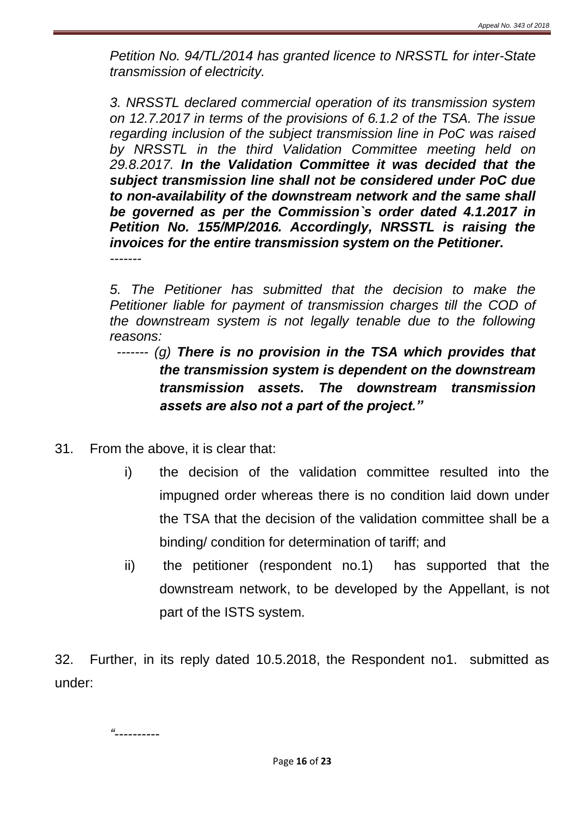*Petition No. 94/TL/2014 has granted licence to NRSSTL for inter-State transmission of electricity.*

*3. NRSSTL declared commercial operation of its transmission system on 12.7.2017 in terms of the provisions of 6.1.2 of the TSA. The issue regarding inclusion of the subject transmission line in PoC was raised by NRSSTL in the third Validation Committee meeting held on 29.8.2017. In the Validation Committee it was decided that the subject transmission line shall not be considered under PoC due to non-availability of the downstream network and the same shall be governed as per the Commission`s order dated 4.1.2017 in Petition No. 155/MP/2016. Accordingly, NRSSTL is raising the invoices for the entire transmission system on the Petitioner. -------*

*5. The Petitioner has submitted that the decision to make the Petitioner liable for payment of transmission charges till the COD of the downstream system is not legally tenable due to the following reasons:*

## *------- (g) There is no provision in the TSA which provides that the transmission system is dependent on the downstream transmission assets. The downstream transmission assets are also not a part of the project."*

- 31. From the above, it is clear that:
	- i) the decision of the validation committee resulted into the impugned order whereas there is no condition laid down under the TSA that the decision of the validation committee shall be a binding/ condition for determination of tariff; and
	- ii) the petitioner (respondent no.1) has supported that the downstream network, to be developed by the Appellant, is not part of the ISTS system.

32. Further, in its reply dated 10.5.2018, the Respondent no1. submitted as under: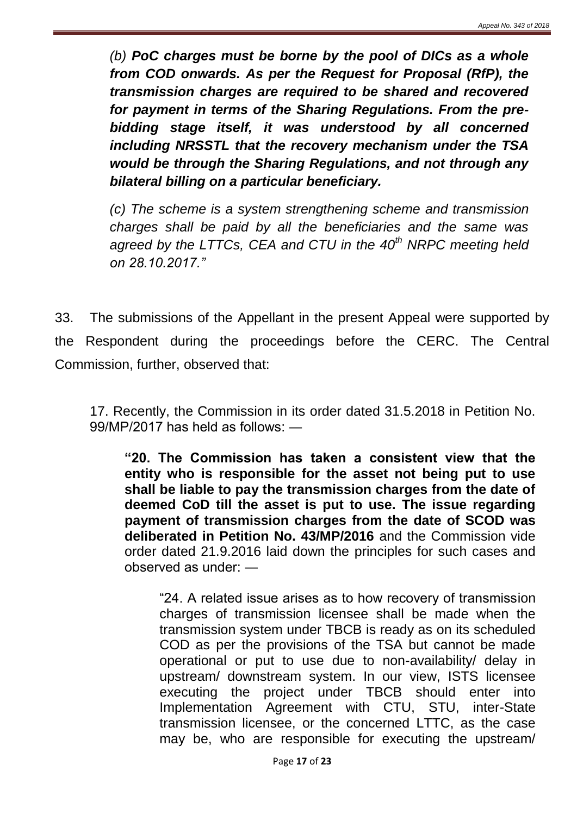*(b) PoC charges must be borne by the pool of DICs as a whole from COD onwards. As per the Request for Proposal (RfP), the transmission charges are required to be shared and recovered for payment in terms of the Sharing Regulations. From the prebidding stage itself, it was understood by all concerned including NRSSTL that the recovery mechanism under the TSA would be through the Sharing Regulations, and not through any bilateral billing on a particular beneficiary.*

*(c) The scheme is a system strengthening scheme and transmission charges shall be paid by all the beneficiaries and the same was agreed by the LTTCs, CEA and CTU in the 40th NRPC meeting held on 28.10.2017."*

33. The submissions of the Appellant in the present Appeal were supported by the Respondent during the proceedings before the CERC. The Central Commission, further, observed that:

17. Recently, the Commission in its order dated 31.5.2018 in Petition No. 99/MP/2017 has held as follows: ―

**"20. The Commission has taken a consistent view that the entity who is responsible for the asset not being put to use shall be liable to pay the transmission charges from the date of deemed CoD till the asset is put to use. The issue regarding payment of transmission charges from the date of SCOD was deliberated in Petition No. 43/MP/2016** and the Commission vide order dated 21.9.2016 laid down the principles for such cases and observed as under: ―

"24. A related issue arises as to how recovery of transmission charges of transmission licensee shall be made when the transmission system under TBCB is ready as on its scheduled COD as per the provisions of the TSA but cannot be made operational or put to use due to non-availability/ delay in upstream/ downstream system. In our view, ISTS licensee executing the project under TBCB should enter into Implementation Agreement with CTU, STU, inter-State transmission licensee, or the concerned LTTC, as the case may be, who are responsible for executing the upstream/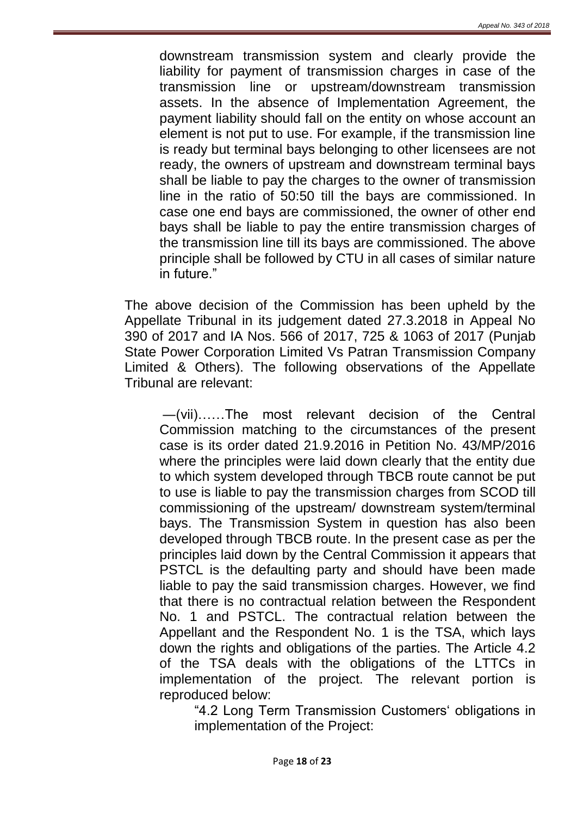downstream transmission system and clearly provide the liability for payment of transmission charges in case of the transmission line or upstream/downstream transmission assets. In the absence of Implementation Agreement, the payment liability should fall on the entity on whose account an element is not put to use. For example, if the transmission line is ready but terminal bays belonging to other licensees are not ready, the owners of upstream and downstream terminal bays shall be liable to pay the charges to the owner of transmission line in the ratio of 50:50 till the bays are commissioned. In case one end bays are commissioned, the owner of other end bays shall be liable to pay the entire transmission charges of the transmission line till its bays are commissioned. The above principle shall be followed by CTU in all cases of similar nature in future."

The above decision of the Commission has been upheld by the Appellate Tribunal in its judgement dated 27.3.2018 in Appeal No 390 of 2017 and IA Nos. 566 of 2017, 725 & 1063 of 2017 (Punjab State Power Corporation Limited Vs Patran Transmission Company Limited & Others). The following observations of the Appellate Tribunal are relevant:

―(vii)……The most relevant decision of the Central Commission matching to the circumstances of the present case is its order dated 21.9.2016 in Petition No. 43/MP/2016 where the principles were laid down clearly that the entity due to which system developed through TBCB route cannot be put to use is liable to pay the transmission charges from SCOD till commissioning of the upstream/ downstream system/terminal bays. The Transmission System in question has also been developed through TBCB route. In the present case as per the principles laid down by the Central Commission it appears that PSTCL is the defaulting party and should have been made liable to pay the said transmission charges. However, we find that there is no contractual relation between the Respondent No. 1 and PSTCL. The contractual relation between the Appellant and the Respondent No. 1 is the TSA, which lays down the rights and obligations of the parties. The Article 4.2 of the TSA deals with the obligations of the LTTCs in implementation of the project. The relevant portion is reproduced below:

"4.2 Long Term Transmission Customers' obligations in implementation of the Project: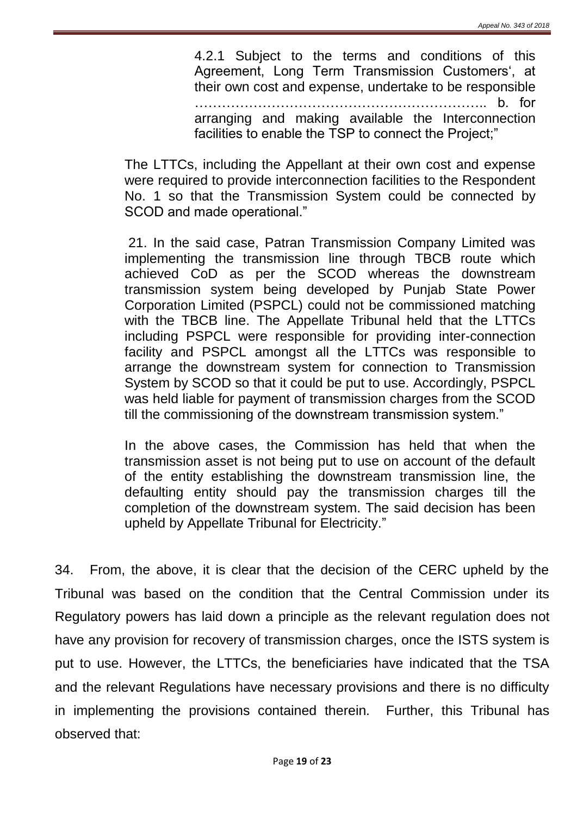4.2.1 Subject to the terms and conditions of this Agreement, Long Term Transmission Customers', at their own cost and expense, undertake to be responsible ……………………………………………………….. b. for arranging and making available the Interconnection facilities to enable the TSP to connect the Project;"

The LTTCs, including the Appellant at their own cost and expense were required to provide interconnection facilities to the Respondent No. 1 so that the Transmission System could be connected by SCOD and made operational."

21. In the said case, Patran Transmission Company Limited was implementing the transmission line through TBCB route which achieved CoD as per the SCOD whereas the downstream transmission system being developed by Punjab State Power Corporation Limited (PSPCL) could not be commissioned matching with the TBCB line. The Appellate Tribunal held that the LTTCs including PSPCL were responsible for providing inter-connection facility and PSPCL amongst all the LTTCs was responsible to arrange the downstream system for connection to Transmission System by SCOD so that it could be put to use. Accordingly, PSPCL was held liable for payment of transmission charges from the SCOD till the commissioning of the downstream transmission system."

In the above cases, the Commission has held that when the transmission asset is not being put to use on account of the default of the entity establishing the downstream transmission line, the defaulting entity should pay the transmission charges till the completion of the downstream system. The said decision has been upheld by Appellate Tribunal for Electricity."

34. From, the above, it is clear that the decision of the CERC upheld by the Tribunal was based on the condition that the Central Commission under its Regulatory powers has laid down a principle as the relevant regulation does not have any provision for recovery of transmission charges, once the ISTS system is put to use. However, the LTTCs, the beneficiaries have indicated that the TSA and the relevant Regulations have necessary provisions and there is no difficulty in implementing the provisions contained therein. Further, this Tribunal has observed that: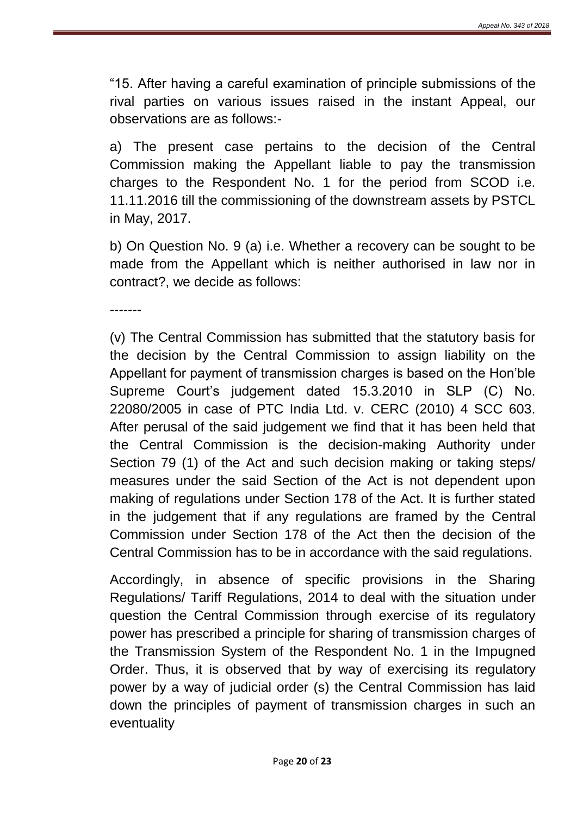"15. After having a careful examination of principle submissions of the rival parties on various issues raised in the instant Appeal, our observations are as follows:-

a) The present case pertains to the decision of the Central Commission making the Appellant liable to pay the transmission charges to the Respondent No. 1 for the period from SCOD i.e. 11.11.2016 till the commissioning of the downstream assets by PSTCL in May, 2017.

b) On Question No. 9 (a) i.e. Whether a recovery can be sought to be made from the Appellant which is neither authorised in law nor in contract?, we decide as follows:

-------

(v) The Central Commission has submitted that the statutory basis for the decision by the Central Commission to assign liability on the Appellant for payment of transmission charges is based on the Hon'ble Supreme Court's judgement dated 15.3.2010 in SLP (C) No. 22080/2005 in case of PTC India Ltd. v. CERC (2010) 4 SCC 603. After perusal of the said judgement we find that it has been held that the Central Commission is the decision-making Authority under Section 79 (1) of the Act and such decision making or taking steps/ measures under the said Section of the Act is not dependent upon making of regulations under Section 178 of the Act. It is further stated in the judgement that if any regulations are framed by the Central Commission under Section 178 of the Act then the decision of the Central Commission has to be in accordance with the said regulations.

Accordingly, in absence of specific provisions in the Sharing Regulations/ Tariff Regulations, 2014 to deal with the situation under question the Central Commission through exercise of its regulatory power has prescribed a principle for sharing of transmission charges of the Transmission System of the Respondent No. 1 in the Impugned Order. Thus, it is observed that by way of exercising its regulatory power by a way of judicial order (s) the Central Commission has laid down the principles of payment of transmission charges in such an eventuality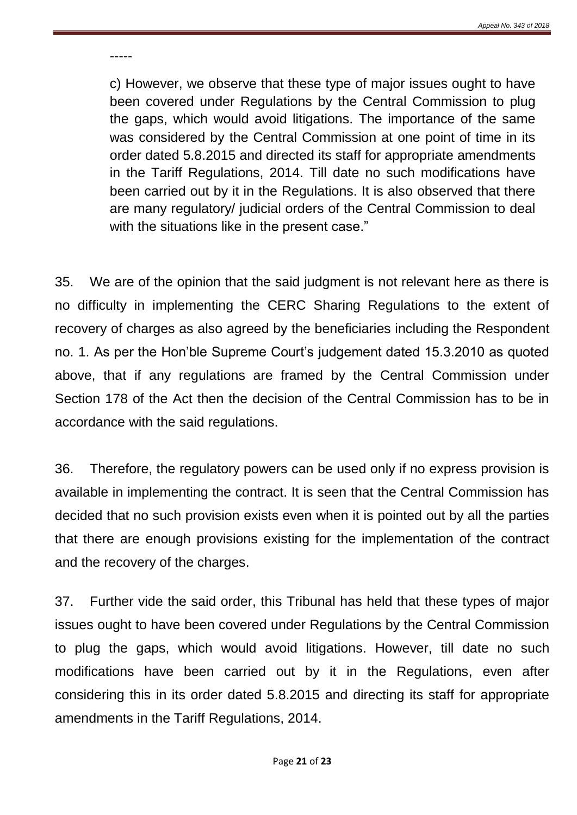-----

c) However, we observe that these type of major issues ought to have been covered under Regulations by the Central Commission to plug the gaps, which would avoid litigations. The importance of the same was considered by the Central Commission at one point of time in its order dated 5.8.2015 and directed its staff for appropriate amendments in the Tariff Regulations, 2014. Till date no such modifications have been carried out by it in the Regulations. It is also observed that there are many regulatory/ judicial orders of the Central Commission to deal with the situations like in the present case."

35. We are of the opinion that the said judgment is not relevant here as there is no difficulty in implementing the CERC Sharing Regulations to the extent of recovery of charges as also agreed by the beneficiaries including the Respondent no. 1. As per the Hon'ble Supreme Court's judgement dated 15.3.2010 as quoted above, that if any regulations are framed by the Central Commission under Section 178 of the Act then the decision of the Central Commission has to be in accordance with the said regulations.

36. Therefore, the regulatory powers can be used only if no express provision is available in implementing the contract. It is seen that the Central Commission has decided that no such provision exists even when it is pointed out by all the parties that there are enough provisions existing for the implementation of the contract and the recovery of the charges.

37. Further vide the said order, this Tribunal has held that these types of major issues ought to have been covered under Regulations by the Central Commission to plug the gaps, which would avoid litigations. However, till date no such modifications have been carried out by it in the Regulations, even after considering this in its order dated 5.8.2015 and directing its staff for appropriate amendments in the Tariff Regulations, 2014.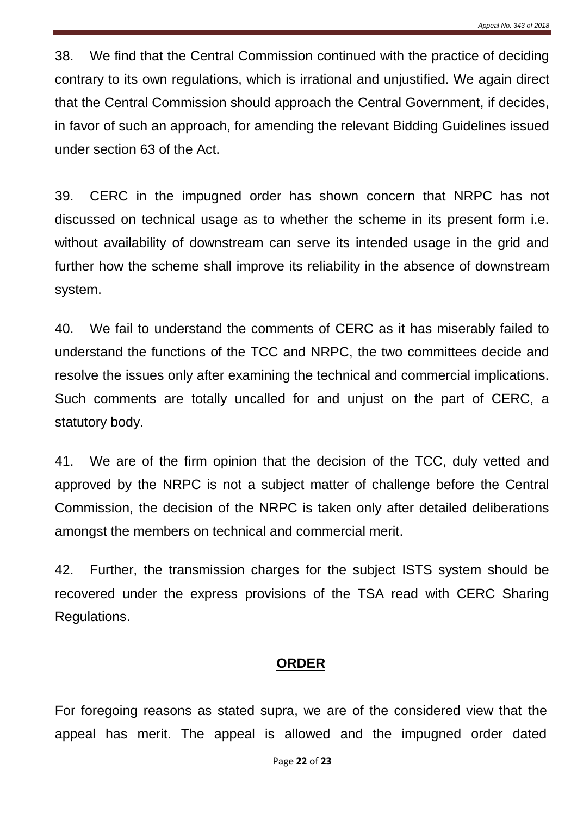38. We find that the Central Commission continued with the practice of deciding contrary to its own regulations, which is irrational and unjustified. We again direct that the Central Commission should approach the Central Government, if decides, in favor of such an approach, for amending the relevant Bidding Guidelines issued under section 63 of the Act.

39. CERC in the impugned order has shown concern that NRPC has not discussed on technical usage as to whether the scheme in its present form i.e. without availability of downstream can serve its intended usage in the grid and further how the scheme shall improve its reliability in the absence of downstream system.

40. We fail to understand the comments of CERC as it has miserably failed to understand the functions of the TCC and NRPC, the two committees decide and resolve the issues only after examining the technical and commercial implications. Such comments are totally uncalled for and unjust on the part of CERC, a statutory body.

41. We are of the firm opinion that the decision of the TCC, duly vetted and approved by the NRPC is not a subject matter of challenge before the Central Commission, the decision of the NRPC is taken only after detailed deliberations amongst the members on technical and commercial merit.

42. Further, the transmission charges for the subject ISTS system should be recovered under the express provisions of the TSA read with CERC Sharing Regulations.

#### **ORDER**

For foregoing reasons as stated supra, we are of the considered view that the appeal has merit. The appeal is allowed and the impugned order dated

Page **22** of **23**